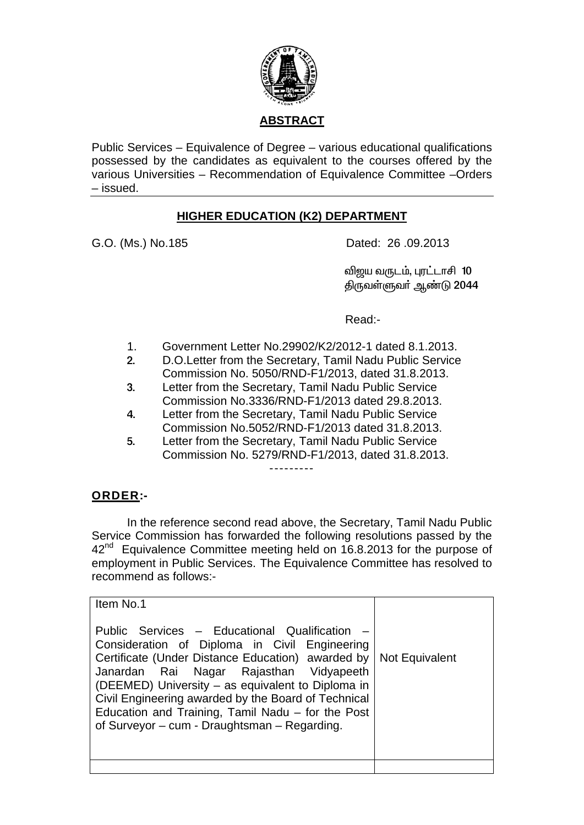

Public Services – Equivalence of Degree – various educational qualifications possessed by the candidates as equivalent to the courses offered by the various Universities - Recommendation of Equivalence Committee - Orders - issued.

## **HIGHER EDUCATION (K2) DEPARTMENT**

G.O. (Ms.) No.185

Dated: 26,09.2013

விஜய வருடம், புரட்டாசி 10 திருவள்ளுவா் ஆண்டு 2044

Read:-

- $1<sub>1</sub>$ Government Letter No.29902/K2/2012-1 dated 8.1.2013.
- D.O.Letter from the Secretary, Tamil Nadu Public Service  $2<sub>1</sub>$ Commission No. 5050/RND-F1/2013, dated 31.8.2013.
- Letter from the Secretary, Tamil Nadu Public Service  $3<sub>1</sub>$ Commission No.3336/RND-F1/2013 dated 29.8.2013.
- $\overline{4}$ Letter from the Secretary, Tamil Nadu Public Service Commission No.5052/RND-F1/2013 dated 31.8.2013.
- 5. Letter from the Secretary, Tamil Nadu Public Service Commission No. 5279/RND-F1/2013, dated 31.8.2013.

## **ORDER:-**

In the reference second read above, the Secretary, Tamil Nadu Public Service Commission has forwarded the following resolutions passed by the 42<sup>nd</sup> Equivalence Committee meeting held on 16.8.2013 for the purpose of employment in Public Services. The Equivalence Committee has resolved to recommend as follows:-

| Item No.1                                                                                                                                                                                                                                                                                                                                                                                                                        |  |
|----------------------------------------------------------------------------------------------------------------------------------------------------------------------------------------------------------------------------------------------------------------------------------------------------------------------------------------------------------------------------------------------------------------------------------|--|
| Public Services - Educational Qualification -<br>Consideration of Diploma in Civil Engineering<br>Certificate (Under Distance Education) awarded by   Not Equivalent<br>Janardan Rai Nagar Rajasthan Vidyapeeth<br>(DEEMED) University - as equivalent to Diploma in<br>Civil Engineering awarded by the Board of Technical<br>Education and Training, Tamil Nadu - for the Post<br>of Surveyor – cum - Draughtsman – Regarding. |  |
|                                                                                                                                                                                                                                                                                                                                                                                                                                  |  |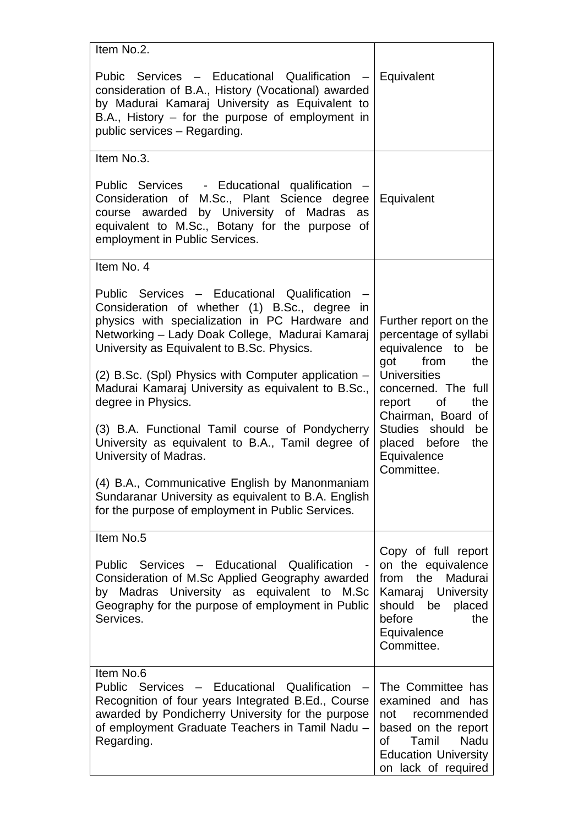| Item No.2.                                                                                                                                                                                                                                          |                                                                                                                                                                 |
|-----------------------------------------------------------------------------------------------------------------------------------------------------------------------------------------------------------------------------------------------------|-----------------------------------------------------------------------------------------------------------------------------------------------------------------|
| Pubic Services - Educational Qualification<br>$\sim$<br>consideration of B.A., History (Vocational) awarded<br>by Madurai Kamaraj University as Equivalent to<br>$B.A., History - for the purpose of employment in$<br>public services - Regarding. | Equivalent                                                                                                                                                      |
| Item No.3.                                                                                                                                                                                                                                          |                                                                                                                                                                 |
| Public Services - Educational qualification<br>Consideration of M.Sc., Plant Science degree<br>course awarded by University of Madras as<br>equivalent to M.Sc., Botany for the purpose of<br>employment in Public Services.                        | Equivalent                                                                                                                                                      |
| Item No. 4                                                                                                                                                                                                                                          |                                                                                                                                                                 |
| Public Services - Educational Qualification<br>Consideration of whether (1) B.Sc., degree in<br>physics with specialization in PC Hardware and<br>Networking - Lady Doak College, Madurai Kamaraj<br>University as Equivalent to B.Sc. Physics.     | Further report on the<br>percentage of syllabi<br>equivalence to be<br>got from<br>the                                                                          |
| $(2)$ B.Sc. (SpI) Physics with Computer application $-$<br>Madurai Kamaraj University as equivalent to B.Sc.,<br>degree in Physics.                                                                                                                 | <b>Universities</b><br>concerned. The full<br>report of<br>the<br>Chairman, Board of                                                                            |
| (3) B.A. Functional Tamil course of Pondycherry<br>University as equivalent to B.A., Tamil degree of<br>University of Madras.                                                                                                                       | Studies should<br>be<br>placed before<br>the<br>Equivalence<br>Committee.                                                                                       |
| (4) B.A., Communicative English by Manonmaniam<br>Sundaranar University as equivalent to B.A. English<br>for the purpose of employment in Public Services.                                                                                          |                                                                                                                                                                 |
| Item No.5                                                                                                                                                                                                                                           |                                                                                                                                                                 |
| Public Services - Educational<br>Qualification<br>Consideration of M.Sc Applied Geography awarded<br>by Madras University as equivalent to M.Sc<br>Geography for the purpose of employment in Public<br>Services.                                   | Copy of full report<br>on the equivalence<br>from the Madurai<br>Kamaraj University<br>should be<br>placed<br>before<br>the<br>Equivalence<br>Committee.        |
| Item No.6<br>Services - Educational Qualification<br>Public<br>Recognition of four years Integrated B.Ed., Course<br>awarded by Pondicherry University for the purpose<br>of employment Graduate Teachers in Tamil Nadu -<br>Regarding.             | The Committee has<br>examined and has<br>not<br>recommended<br>based on the report<br>Nadu<br>Tamil<br>οf<br><b>Education University</b><br>on lack of required |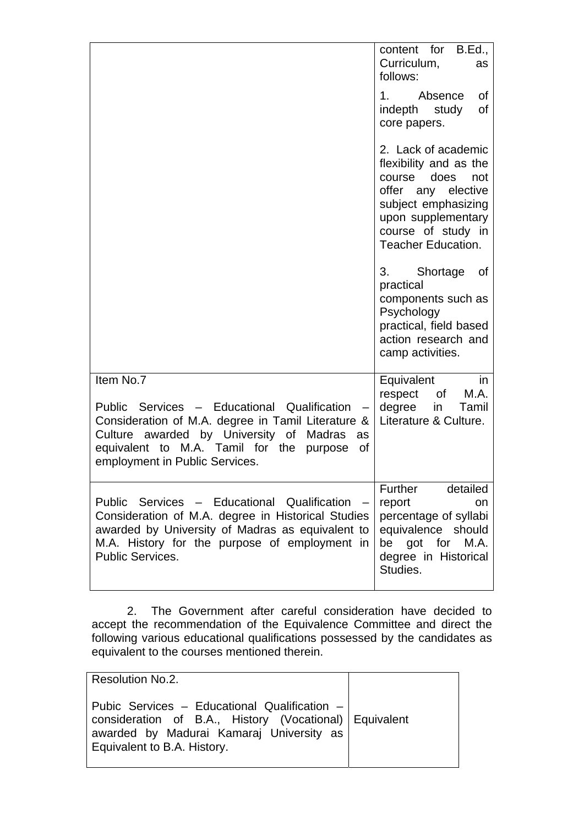|                                                                                                                                                                                                                                                        | content for B.Ed.,<br>Curriculum,<br>as<br>follows:<br>Absence<br>1 <sup>1</sup><br>οf                                                                                                       |
|--------------------------------------------------------------------------------------------------------------------------------------------------------------------------------------------------------------------------------------------------------|----------------------------------------------------------------------------------------------------------------------------------------------------------------------------------------------|
|                                                                                                                                                                                                                                                        | of<br>indepth study<br>core papers.                                                                                                                                                          |
|                                                                                                                                                                                                                                                        | 2. Lack of academic<br>flexibility and as the<br>does<br>course<br>not<br>offer any elective<br>subject emphasizing<br>upon supplementary<br>course of study in<br><b>Teacher Education.</b> |
|                                                                                                                                                                                                                                                        | 3.<br>Shortage<br>0f<br>practical<br>components such as<br>Psychology<br>practical, field based<br>action research and<br>camp activities.                                                   |
| Item No.7<br>Public Services - Educational Qualification<br>Consideration of M.A. degree in Tamil Literature &<br>Culture awarded by University of Madras<br>as<br>equivalent to M.A. Tamil for the<br>of<br>purpose<br>employment in Public Services. | Equivalent<br>in<br>M.A.<br>respect<br>of<br>degree<br>in<br>Tamil<br>Literature & Culture.                                                                                                  |
| Public Services - Educational Qualification -<br>Consideration of M.A. degree in Historical Studies<br>awarded by University of Madras as equivalent to<br>M.A. History for the purpose of employment in<br>Public Services.                           | Further<br>detailed<br>report<br>on<br>percentage of syllabi<br>equivalence should<br>be<br>got for<br>M.A.<br>degree in Historical<br>Studies.                                              |

2. The Government after careful consideration have decided to accept the recommendation of the Equivalence Committee and direct the following various educational qualifications possessed by the candidates as equivalent to the courses mentioned therein.

| Resolution No.2.                                                                                                                                                                      |  |
|---------------------------------------------------------------------------------------------------------------------------------------------------------------------------------------|--|
| Pubic Services - Educational Qualification -<br>  consideration of B.A., History (Vocational)   Equivalent<br>awarded by Madurai Kamaraj University as<br>Equivalent to B.A. History. |  |